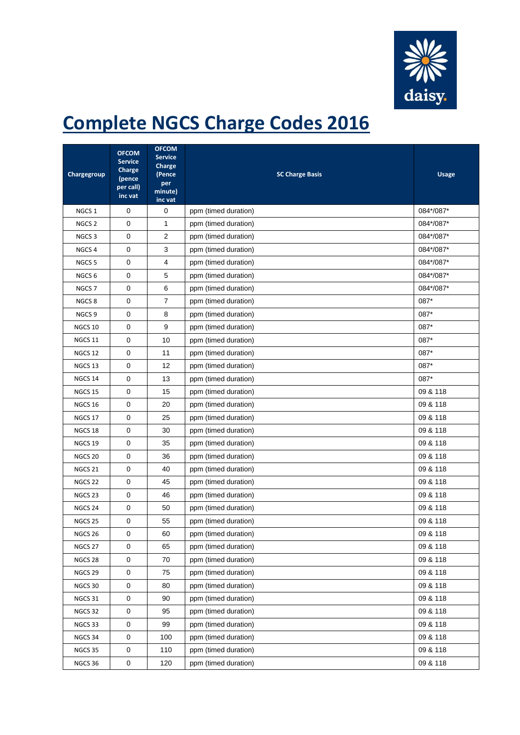

## **Complete NGCS Charge Codes 2016**

| Chargegroup        | <b>OFCOM</b><br><b>Service</b><br>Charge<br>(pence<br>per call)<br>inc vat | <b>OFCOM</b><br><b>Service</b><br>Charge<br>(Pence<br>per<br>minute)<br>inc vat | <b>SC Charge Basis</b> | <b>Usage</b> |
|--------------------|----------------------------------------------------------------------------|---------------------------------------------------------------------------------|------------------------|--------------|
| NGCS <sub>1</sub>  | 0                                                                          | 0                                                                               | ppm (timed duration)   | 084*/087*    |
| NGCS <sub>2</sub>  | 0                                                                          | 1                                                                               | ppm (timed duration)   | 084*/087*    |
| NGCS <sub>3</sub>  | 0                                                                          | 2                                                                               | ppm (timed duration)   | 084*/087*    |
| NGCS <sub>4</sub>  | 0                                                                          | 3                                                                               | ppm (timed duration)   | 084*/087*    |
| NGCS <sub>5</sub>  | 0                                                                          | 4                                                                               | ppm (timed duration)   | 084*/087*    |
| NGCS <sub>6</sub>  | 0                                                                          | 5                                                                               | ppm (timed duration)   | 084*/087*    |
| NGCS <sub>7</sub>  | 0                                                                          | 6                                                                               | ppm (timed duration)   | 084*/087*    |
| NGCS <sub>8</sub>  | 0                                                                          | 7                                                                               | ppm (timed duration)   | 087*         |
| NGCS 9             | 0                                                                          | 8                                                                               | ppm (timed duration)   | 087*         |
| NGCS 10            | 0                                                                          | 9                                                                               | ppm (timed duration)   | 087*         |
| NGCS <sub>11</sub> | $\mathbf 0$                                                                | 10                                                                              | ppm (timed duration)   | 087*         |
| NGCS <sub>12</sub> | 0                                                                          | 11                                                                              | ppm (timed duration)   | 087*         |
| NGCS <sub>13</sub> | 0                                                                          | 12                                                                              | ppm (timed duration)   | 087*         |
| NGCS 14            | 0                                                                          | 13                                                                              | ppm (timed duration)   | 087*         |
| <b>NGCS 15</b>     | 0                                                                          | 15                                                                              | ppm (timed duration)   | 09 & 118     |
| NGCS 16            | 0                                                                          | 20                                                                              | ppm (timed duration)   | 09 & 118     |
| NGCS 17            | 0                                                                          | 25                                                                              | ppm (timed duration)   | 09 & 118     |
| NGCS 18            | 0                                                                          | 30                                                                              | ppm (timed duration)   | 09 & 118     |
| NGCS <sub>19</sub> | 0                                                                          | 35                                                                              | ppm (timed duration)   | 09 & 118     |
| NGCS <sub>20</sub> | 0                                                                          | 36                                                                              | ppm (timed duration)   | 09 & 118     |
| NGCS <sub>21</sub> | 0                                                                          | 40                                                                              | ppm (timed duration)   | 09 & 118     |
| NGCS <sub>22</sub> | 0                                                                          | 45                                                                              | ppm (timed duration)   | 09 & 118     |
| NGCS <sub>23</sub> | 0                                                                          | 46                                                                              | ppm (timed duration)   | 09 & 118     |
| NGCS 24            | 0                                                                          | 50                                                                              | ppm (timed duration)   | 09 & 118     |
| <b>NGCS 25</b>     | 0                                                                          | 55                                                                              | ppm (timed duration)   | 09 & 118     |
| NGCS 26            | 0                                                                          | 60                                                                              | ppm (timed duration)   | 09 & 118     |
| NGCS 27            | 0                                                                          | 65                                                                              | ppm (timed duration)   | 09 & 118     |
| NGCS 28            | $\pmb{0}$                                                                  | 70                                                                              | ppm (timed duration)   | 09 & 118     |
| NGCS <sub>29</sub> | $\pmb{0}$                                                                  | 75                                                                              | ppm (timed duration)   | 09 & 118     |
| NGCS 30            | $\mathsf 0$                                                                | 80                                                                              | ppm (timed duration)   | 09 & 118     |
| NGCS 31            | $\pmb{0}$                                                                  | 90                                                                              | ppm (timed duration)   | 09 & 118     |
| NGCS 32            | $\pmb{0}$                                                                  | 95                                                                              | ppm (timed duration)   | 09 & 118     |
| NGCS 33            | 0                                                                          | 99                                                                              | ppm (timed duration)   | 09 & 118     |
| NGCS 34            | 0                                                                          | 100                                                                             | ppm (timed duration)   | 09 & 118     |
| NGCS 35            | 0                                                                          | 110                                                                             | ppm (timed duration)   | 09 & 118     |
| NGCS 36            | $\pmb{0}$                                                                  | 120                                                                             | ppm (timed duration)   | 09 & 118     |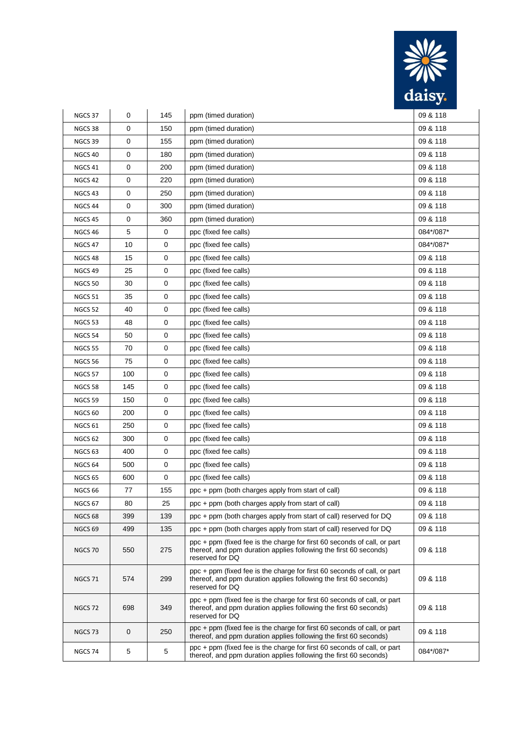

| NGCS 37            | 0   | 145 | ppm (timed duration)                                                                                                                                             | 09 & 118  |
|--------------------|-----|-----|------------------------------------------------------------------------------------------------------------------------------------------------------------------|-----------|
| NGCS 38            | 0   | 150 | ppm (timed duration)                                                                                                                                             | 09 & 118  |
| NGCS 39            | 0   | 155 | ppm (timed duration)                                                                                                                                             | 09 & 118  |
| NGCS 40            | 0   | 180 | ppm (timed duration)                                                                                                                                             | 09 & 118  |
| NGCS <sub>41</sub> | 0   | 200 | ppm (timed duration)                                                                                                                                             | 09 & 118  |
| NGCS <sub>42</sub> | 0   | 220 | ppm (timed duration)                                                                                                                                             | 09 & 118  |
| NGCS <sub>43</sub> | 0   | 250 | ppm (timed duration)                                                                                                                                             | 09 & 118  |
| NGCS <sub>44</sub> | 0   | 300 | ppm (timed duration)                                                                                                                                             | 09 & 118  |
| NGCS 45            | 0   | 360 | ppm (timed duration)                                                                                                                                             | 09 & 118  |
| NGCS <sub>46</sub> | 5   | 0   | ppc (fixed fee calls)                                                                                                                                            | 084*/087* |
| NGCS 47            | 10  | 0   | ppc (fixed fee calls)                                                                                                                                            | 084*/087* |
| NGCS <sub>48</sub> | 15  | 0   | ppc (fixed fee calls)                                                                                                                                            | 09 & 118  |
| NGCS <sub>49</sub> | 25  | 0   | ppc (fixed fee calls)                                                                                                                                            | 09 & 118  |
| NGCS 50            | 30  | 0   | ppc (fixed fee calls)                                                                                                                                            | 09 & 118  |
| NGCS 51            | 35  | 0   | ppc (fixed fee calls)                                                                                                                                            | 09 & 118  |
| NGCS 52            | 40  | 0   | ppc (fixed fee calls)                                                                                                                                            | 09 & 118  |
| NGCS 53            | 48  | 0   | ppc (fixed fee calls)                                                                                                                                            | 09 & 118  |
| NGCS 54            | 50  | 0   | ppc (fixed fee calls)                                                                                                                                            | 09 & 118  |
| <b>NGCS 55</b>     | 70  | 0   | ppc (fixed fee calls)                                                                                                                                            | 09 & 118  |
| <b>NGCS 56</b>     | 75  | 0   | ppc (fixed fee calls)                                                                                                                                            | 09 & 118  |
| <b>NGCS 57</b>     | 100 | 0   | ppc (fixed fee calls)                                                                                                                                            | 09 & 118  |
| NGCS 58            | 145 | 0   | ppc (fixed fee calls)                                                                                                                                            | 09 & 118  |
| NGCS 59            | 150 | 0   | ppc (fixed fee calls)                                                                                                                                            | 09 & 118  |
| NGCS 60            | 200 | 0   | ppc (fixed fee calls)                                                                                                                                            | 09 & 118  |
| NGCS <sub>61</sub> | 250 | 0   | ppc (fixed fee calls)                                                                                                                                            | 09 & 118  |
| NGCS 62            | 300 | 0   | ppc (fixed fee calls)                                                                                                                                            | 09 & 118  |
| NGCS <sub>63</sub> | 400 | 0   | ppc (fixed fee calls)                                                                                                                                            | 09 & 118  |
| NGCS <sub>64</sub> | 500 | 0   | ppc (fixed fee calls)                                                                                                                                            | 09 & 118  |
| <b>NGCS 65</b>     | 600 | 0   | ppc (fixed fee calls)                                                                                                                                            | 09 & 118  |
| NGCS <sub>66</sub> | 77  | 155 | ppc + ppm (both charges apply from start of call)                                                                                                                | 09 & 118  |
| NGCS 67            | 80  | 25  | ppc + ppm (both charges apply from start of call)                                                                                                                | 09 & 118  |
| NGCS <sub>68</sub> | 399 | 139 | ppc + ppm (both charges apply from start of call) reserved for DQ                                                                                                | 09 & 118  |
| NGCS <sub>69</sub> | 499 | 135 | ppc + ppm (both charges apply from start of call) reserved for DQ                                                                                                | 09 & 118  |
| NGCS 70            | 550 | 275 | ppc + ppm (fixed fee is the charge for first 60 seconds of call, or part<br>thereof, and ppm duration applies following the first 60 seconds)<br>reserved for DQ | 09 & 118  |
| NGCS 71            | 574 | 299 | ppc + ppm (fixed fee is the charge for first 60 seconds of call, or part<br>thereof, and ppm duration applies following the first 60 seconds)<br>reserved for DQ | 09 & 118  |
| NGCS 72            | 698 | 349 | ppc + ppm (fixed fee is the charge for first 60 seconds of call, or part<br>thereof, and ppm duration applies following the first 60 seconds)<br>reserved for DQ | 09 & 118  |
| NGCS <sub>73</sub> | 0   | 250 | ppc + ppm (fixed fee is the charge for first 60 seconds of call, or part<br>thereof, and ppm duration applies following the first 60 seconds)                    | 09 & 118  |
| NGCS 74            | 5   | 5   | ppc + ppm (fixed fee is the charge for first 60 seconds of call, or part<br>thereof, and ppm duration applies following the first 60 seconds)                    | 084*/087* |